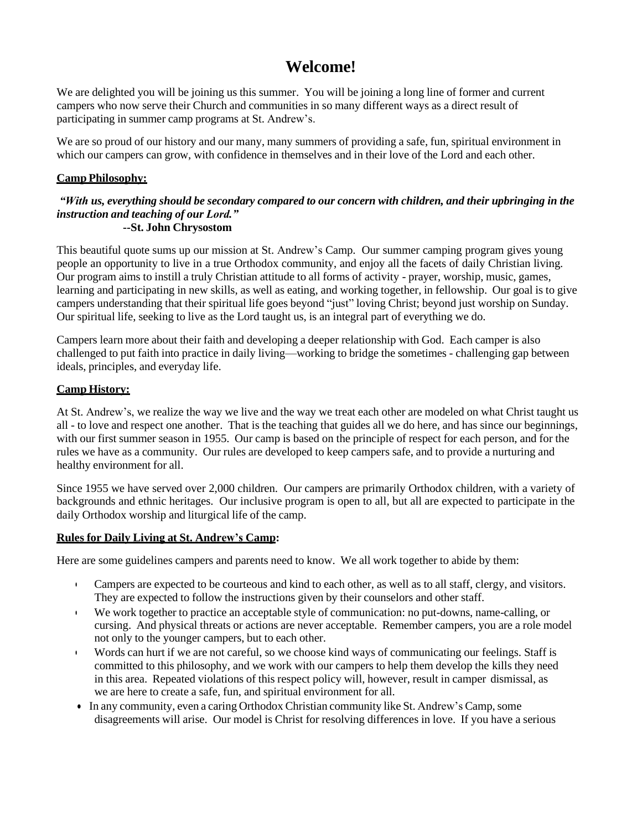# **Welcome!**

We are delighted you will be joining us this summer. You will be joining a long line of former and current campers who now serve their Church and communities in so many different ways as a direct result of participating in summer camp programs at St. Andrew's.

We are so proud of our history and our many, many summers of providing a safe, fun, spiritual environment in which our campers can grow, with confidence in themselves and in their love of the Lord and each other.

# **Camp Philosophy:**

#### "With us, everything should be secondary compared to our concern with children, and their upbringing in the *instruction and teaching of our Lord."* **--St. John Chrysostom**

This beautiful quote sums up our mission at St. Andrew's Camp. Our summer camping program gives young people an opportunity to live in a true Orthodox community, and enjoy all the facets of daily Christian living. Our program aims to instill a truly Christian attitude to all forms of activity - prayer, worship, music, games, learning and participating in new skills, as well as eating, and working together, in fellowship. Our goal is to give campers understanding that their spiritual life goes beyond "just" loving Christ; beyond just worship on Sunday. Our spiritual life, seeking to live as the Lord taught us, is an integral part of everything we do.

Campers learn more about their faith and developing a deeper relationship with God. Each camper is also challenged to put faith into practice in daily living—working to bridge the sometimes - challenging gap between ideals, principles, and everyday life.

## **Camp History:**

At St. Andrew's, we realize the way we live and the way we treat each other are modeled on what Christ taught us all - to love and respect one another. That is the teaching that guides all we do here, and has since our beginnings, with our first summer season in 1955. Our camp is based on the principle of respect for each person, and for the rules we have as a community. Our rules are developed to keep campers safe, and to provide a nurturing and healthy environment for all.

Since 1955 we have served over 2,000 children. Our campers are primarily Orthodox children, with a variety of backgrounds and ethnic heritages. Our inclusive program is open to all, but all are expected to participate in the daily Orthodox worship and liturgical life of the camp.

# **Rules for Daily Living at St. Andrew's Camp:**

Here are some guidelines campers and parents need to know. We all work together to abide by them:

- Campers are expected to be courteous and kind to each other, as well as to all staff, clergy, and visitors. They are expected to follow the instructions given by their counselors and other staff.
- We work together to practice an acceptable style of communication: no put-downs, name-calling, or cursing. And physical threats or actions are never acceptable. Remember campers, you are a role model not only to the younger campers, but to each other.
- Words can hurt if we are not careful, so we choose kind ways of communicating our feelings. Staff is committed to this philosophy, and we work with our campers to help them develop the kills they need in this area. Repeated violations of this respect policy will, however, result in camper dismissal, as we are here to create a safe, fun, and spiritual environment for all.
- In any community, even a caring Orthodox Christian community like St. Andrew's Camp,some disagreements will arise. Our model is Christ for resolving differences in love. If you have a serious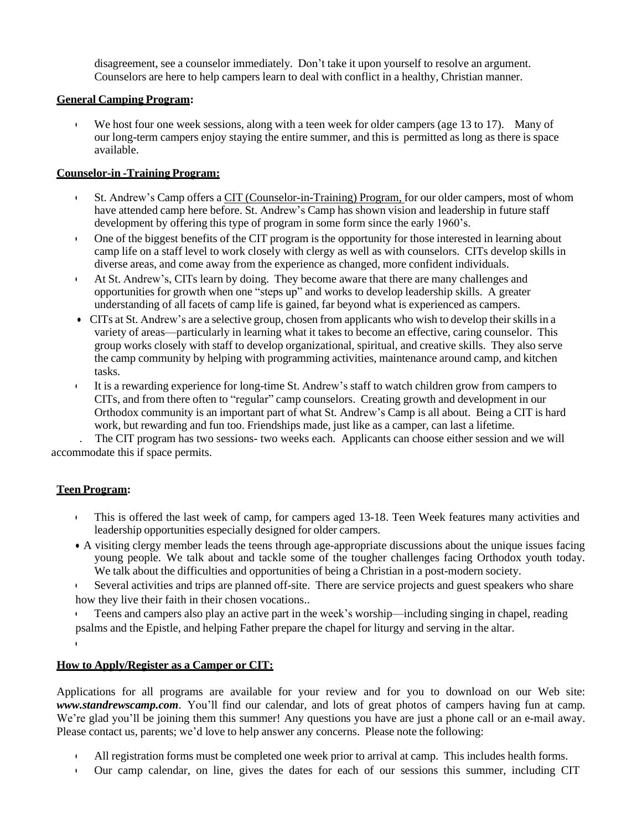disagreement, see a counselor immediately. Don't take it upon yourself to resolve an argument. Counselors are here to help campers learn to deal with conflict in a healthy, Christian manner.

## **General Camping Program:**

• We host four one week sessions, along with a teen week for older campers (age 13 to 17). Many of our long-term campers enjoy staying the entire summer, and this is permitted as long as there is space available.

# **Counselor-in -Training Program:**

- St. Andrew's Camp offers a CIT (Counselor-in-Training) Program, for our older campers, most of whom have attended camp here before. St. Andrew's Camp has shown vision and leadership in future staff development by offering this type of program in some form since the early 1960's.
- One of the biggest benefits of the CIT program is the opportunity for those interested in learning about camp life on a staff level to work closely with clergy as well as with counselors. CITs develop skills in diverse areas, and come away from the experience as changed, more confident individuals.
- At St. Andrew's, CITs learn by doing. They become aware that there are many challenges and opportunities for growth when one "steps up" and works to develop leadership skills. A greater understanding of all facets of camp life is gained, far beyond what is experienced as campers.
- CITs at St. Andrew's are a selective group, chosen from applicants who wish to develop their skills in a variety of areas—particularly in learning what it takes to become an effective, caring counselor. This group works closely with staff to develop organizational, spiritual, and creative skills. They also serve the camp community by helping with programming activities, maintenance around camp, and kitchen tasks.
- It is a rewarding experience for long-time St. Andrew's staff to watch children grow from campers to CITs, and from there often to "regular" camp counselors. Creating growth and development in our Orthodox community is an important part of what St. Andrew's Camp is all about. Being a CIT is hard work, but rewarding and fun too. Friendships made, just like as a camper, can last a lifetime.

 . The CIT program has two sessions- two weeks each. Applicants can choose either session and we will accommodate this if space permits.

# **Teen Program:**

•

- This is offered the last week of camp, for campers aged 13-18. Teen Week features many activities and leadership opportunities especially designed for older campers.
- A visiting clergy member leads the teens through age-appropriate discussions about the unique issues facing young people. We talk about and tackle some of the tougher challenges facing Orthodox youth today. We talk about the difficulties and opportunities of being a Christian in a post-modern society.

• Several activities and trips are planned off-site. There are service projects and guest speakers who share how they live their faith in their chosen vocations..

• Teens and campers also play an active part in the week's worship—including singing in chapel, reading psalms and the Epistle, and helping Father prepare the chapel for liturgy and serving in the altar.

# **How to Apply/Register as a Camper or CIT:**

Applications for all programs are available for your review and for you to download on our Web site: *[www.standrewscamp.com](http://www.standrewscamp.com/)*. You'll find our calendar, and lots of great photos of campers having fun at camp. We're glad you'll be joining them this summer! Any questions you have are just a phone call or an e-mail away. Please contact us, parents; we'd love to help answer any concerns. Please note the following:

- All registration forms must be completed one week prior to arrival at camp. This includes health forms.
- Our camp calendar, on line, gives the dates for each of our sessions this summer, including CIT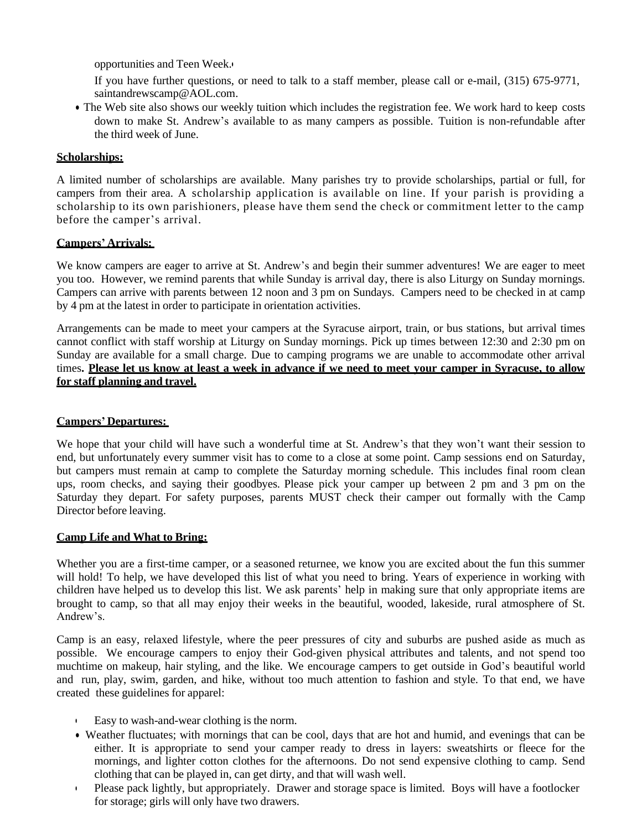opportunities and Teen Week.•

If you have further questions, or need to talk to a staff member, please call or e-mail, (315) 675-9771, [saintandrewscamp@AOL.com.](mailto:saintandrewscamp@AOL.com)

• The Web site also shows our weekly tuition which includes the registration fee. We work hard to keep costs down to make St. Andrew's available to as many campers as possible. Tuition is non-refundable after the third week of June.

#### **Scholarships:**

A limited number of scholarships are available. Many parishes try to provide scholarships, partial or full, for campers from their area. A scholarship application is available on line. If your parish is providing a scholarship to its own parishioners, please have them send the check or commitment letter to the camp before the camper's arrival.

## **Campers' Arrivals:**

We know campers are eager to arrive at St. Andrew's and begin their summer adventures! We are eager to meet you too. However, we remind parents that while Sunday is arrival day, there is also Liturgy on Sunday mornings. Campers can arrive with parents between 12 noon and 3 pm on Sundays. Campers need to be checked in at camp by 4 pm at the latest in order to participate in orientation activities.

Arrangements can be made to meet your campers at the Syracuse airport, train, or bus stations, but arrival times cannot conflict with staff worship at Liturgy on Sunday mornings. Pick up times between 12:30 and 2:30 pm on Sunday are available for a small charge. Due to camping programs we are unable to accommodate other arrival times. Please let us know at least a week in advance if we need to meet vour camper in Syracuse, to allow **for staff planning and travel.**

## **Campers' Departures:**

We hope that your child will have such a wonderful time at St. Andrew's that they won't want their session to end, but unfortunately every summer visit has to come to a close at some point. Camp sessions end on Saturday, but campers must remain at camp to complete the Saturday morning schedule. This includes final room clean ups, room checks, and saying their goodbyes. Please pick your camper up between 2 pm and 3 pm on the Saturday they depart. For safety purposes, parents MUST check their camper out formally with the Camp Director before leaving.

#### **Camp Life and What to Bring:**

Whether you are a first-time camper, or a seasoned returnee, we know you are excited about the fun this summer will hold! To help, we have developed this list of what you need to bring. Years of experience in working with children have helped us to develop this list. We ask parents' help in making sure that only appropriate items are brought to camp, so that all may enjoy their weeks in the beautiful, wooded, lakeside, rural atmosphere of St. Andrew's.

Camp is an easy, relaxed lifestyle, where the peer pressures of city and suburbs are pushed aside as much as possible. We encourage campers to enjoy their God-given physical attributes and talents, and not spend too muchtime on makeup, hair styling, and the like. We encourage campers to get outside in God's beautiful world and run, play, swim, garden, and hike, without too much attention to fashion and style. To that end, we have created these guidelines for apparel:

- Easy to wash-and-wear clothing is the norm.
- Weather fluctuates; with mornings that can be cool, days that are hot and humid, and evenings that can be either. It is appropriate to send your camper ready to dress in layers: sweatshirts or fleece for the mornings, and lighter cotton clothes for the afternoons. Do not send expensive clothing to camp. Send clothing that can be played in, can get dirty, and that will wash well.
- Please pack lightly, but appropriately. Drawer and storage space is limited. Boys will have a footlocker for storage; girls will only have two drawers.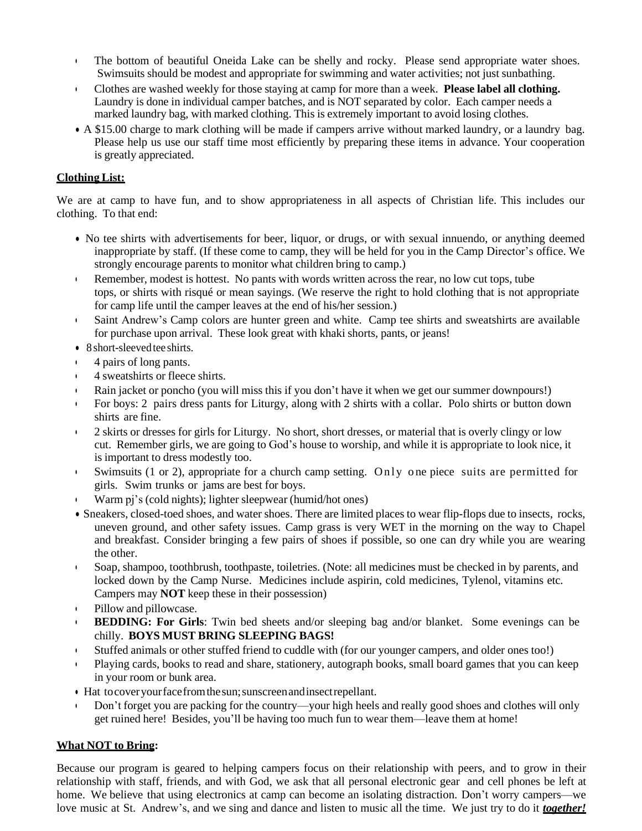- The bottom of beautiful Oneida Lake can be shelly and rocky. Please send appropriate water shoes. Swimsuits should be modest and appropriate for swimming and water activities; not just sunbathing.
- Clothes are washed weekly for those staying at camp for more than a week. **Please label all clothing.** Laundry is done in individual camper batches, and is NOT separated by color. Each camper needs a marked laundry bag, with marked clothing. This is extremely important to avoid losing clothes.
- A \$15.00 charge to mark clothing will be made if campers arrive without marked laundry, or a laundry bag. Please help us use our staff time most efficiently by preparing these items in advance. Your cooperation is greatly appreciated.

## **Clothing List:**

We are at camp to have fun, and to show appropriateness in all aspects of Christian life. This includes our clothing. To that end:

- No tee shirts with advertisements for beer, liquor, or drugs, or with sexual innuendo, or anything deemed inappropriate by staff. (If these come to camp, they will be held for you in the Camp Director's office. We strongly encourage parents to monitor what children bring to camp.)
- Remember, modest is hottest. No pants with words written across the rear, no low cut tops, tube tops, or shirts with risqué or mean sayings. (We reserve the right to hold clothing that is not appropriate for camp life until the camper leaves at the end of his/her session.)
- Saint Andrew's Camp colors are hunter green and white. Camp tee shirts and sweatshirts are available for purchase upon arrival. These look great with khaki shorts, pants, or jeans!
- 8 short-sleeved tee shirts.
- 4 pairs of long pants.
- 4 sweatshirts or fleece shirts.
- Rain jacket or poncho (you will miss this if you don't have it when we get our summer downpours!)
- For boys: 2 pairs dress pants for Liturgy, along with 2 shirts with a collar. Polo shirts or button down shirts are fine.
- 2 skirts or dresses for girls for Liturgy. No short, short dresses, or material that is overly clingy or low cut. Remember girls, we are going to God's house to worship, and while it is appropriate to look nice, it is important to dress modestly too.
- Swimsuits  $(1 \text{ or } 2)$ , appropriate for a church camp setting. Only one piece suits are permitted for girls. Swim trunks or jams are best for boys.
- Warm pj's (cold nights); lighter sleepwear (humid/hot ones)
- Sneakers, closed-toed shoes, and water shoes. There are limited places to wear flip-flops due to insects, rocks, uneven ground, and other safety issues. Camp grass is very WET in the morning on the way to Chapel and breakfast. Consider bringing a few pairs of shoes if possible, so one can dry while you are wearing the other.
- Soap, shampoo, toothbrush, toothpaste, toiletries. (Note: all medicines must be checked in by parents, and locked down by the Camp Nurse. Medicines include aspirin, cold medicines, Tylenol, vitamins etc. Campers may **NOT** keep these in their possession)
- Pillow and pillowcase.
- **BEDDING: For Girls**: Twin bed sheets and/or sleeping bag and/or blanket. Some evenings can be chilly. **BOYS MUST BRING SLEEPING BAGS!**
- Stuffed animals or other stuffed friend to cuddle with (for our younger campers, and older ones too!)
- Playing cards, books to read and share, stationery, autograph books, small board games that you can keep in your room or bunk area.
- Hat tocoveryourfacefromthesun;sunscreenandinsectrepellant.
- Don't forget you are packing for the country—your high heels and really good shoes and clothes will only get ruined here! Besides, you'll be having too much fun to wear them—leave them at home!

# **What NOT to Bring:**

Because our program is geared to helping campers focus on their relationship with peers, and to grow in their relationship with staff, friends, and with God, we ask that all personal electronic gear and cell phones be left at home. We believe that using electronics at camp can become an isolating distraction. Don't worry campers—we love music at St. Andrew's, and we sing and dance and listen to music all the time. We just try to do it *together!*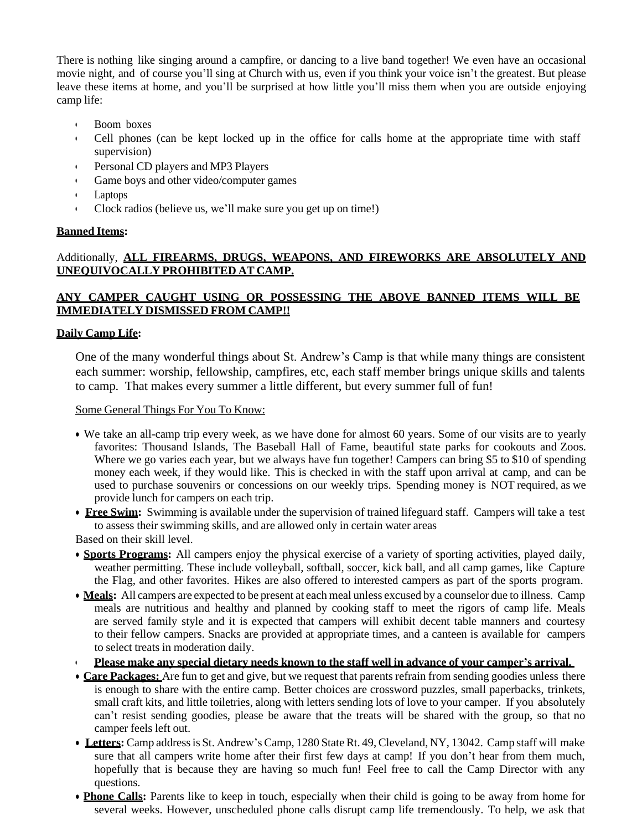There is nothing like singing around a campfire, or dancing to a live band together! We even have an occasional movie night, and of course you'll sing at Church with us, even if you think your voice isn't the greatest. But please leave these items at home, and you'll be surprised at how little you'll miss them when you are outside enjoying camp life:

- Boom boxes
- Cell phones (can be kept locked up in the office for calls home at the appropriate time with staff supervision)
- Personal CD players and MP3 Players
- Game boys and other video/computer games
- Laptops
- Clock radios (believe us, we'll make sure you get up on time!)

#### **Banned Items:**

# Additionally, **ALL FIREARMS, DRUGS, WEAPONS, AND FIREWORKS ARE ABSOLUTELY AND UNEQUIVOCALLY PROHIBITED AT CAMP.**

# **ANY CAMPER CAUGHT USING OR POSSESSING THE ABOVE BANNED ITEMS WILL BE IMMEDIATELY DISMISSED FROM CAMP!!**

## **Daily Camp Life:**

One of the many wonderful things about St. Andrew's Camp is that while many things are consistent each summer: worship, fellowship, campfires, etc, each staff member brings unique skills and talents to camp. That makes every summer a little different, but every summer full of fun!

Some General Things For You To Know:

- We take an all-camp trip every week, as we have done for almost 60 years. Some of our visits are to yearly favorites: Thousand Islands, The Baseball Hall of Fame, beautiful state parks for cookouts and Zoos. Where we go varies each year, but we always have fun together! Campers can bring \$5 to \$10 of spending money each week, if they would like. This is checked in with the staff upon arrival at camp, and can be used to purchase souvenirs or concessions on our weekly trips. Spending money is NOT required, as we provide lunch for campers on each trip.
- **Free Swim:** Swimming is available under the supervision of trained lifeguard staff. Campers will take a test to assess their swimming skills, and are allowed only in certain water areas

Based on their skill level.

- **Sports Programs:** All campers enjoy the physical exercise of a variety of sporting activities, played daily, weather permitting. These include volleyball, softball, soccer, kick ball, and all camp games, like Capture the Flag, and other favorites. Hikes are also offered to interested campers as part of the sports program.
- **Meals:** All campers are expected to be present at each meal unless excused by a counselor due to illness. Camp meals are nutritious and healthy and planned by cooking staff to meet the rigors of camp life. Meals are served family style and it is expected that campers will exhibit decent table manners and courtesy to their fellow campers. Snacks are provided at appropriate times, and a canteen is available for campers to select treats in moderation daily.
- **Please make any special dietary needs known to the staff well in advance of your camper's arrival.**
- **Care Packages:** Are fun to get and give, but we request that parents refrain from sending goodies unless there is enough to share with the entire camp. Better choices are crossword puzzles, small paperbacks, trinkets, small craft kits, and little toiletries, along with letters sending lots of love to your camper. If you absolutely can't resist sending goodies, please be aware that the treats will be shared with the group, so that no camper feels left out.
- **Letters:** Camp addressis St. Andrew's Camp, 1280 State Rt. 49,Cleveland, NY, 13042. Camp staff will make sure that all campers write home after their first few days at camp! If you don't hear from them much, hopefully that is because they are having so much fun! Feel free to call the Camp Director with any questions.
- **Phone Calls:** Parents like to keep in touch, especially when their child is going to be away from home for several weeks. However, unscheduled phone calls disrupt camp life tremendously. To help, we ask that